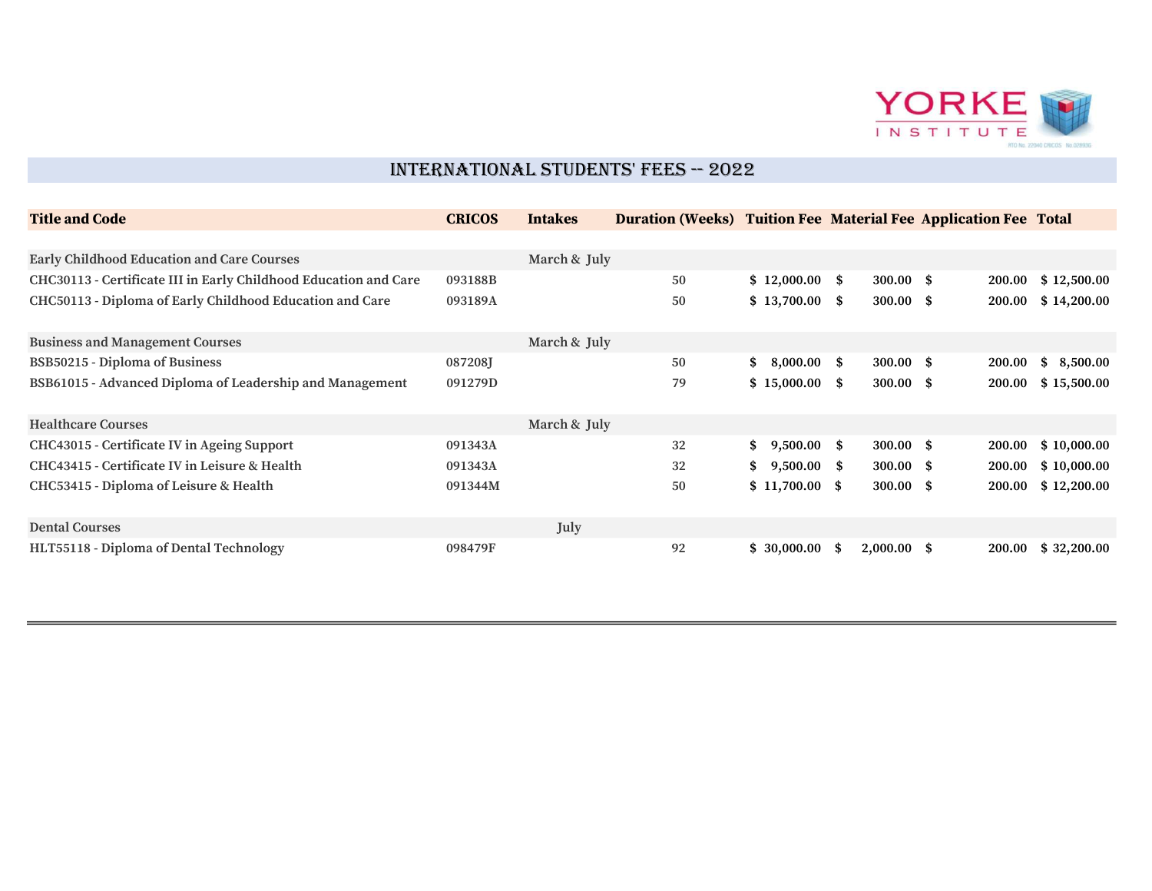

## INTERNATIONAL STUDENTS' FEES -- 2022

| <b>Title and Code</b>                                            | <b>CRICOS</b> | <b>Intakes</b> | <b>Duration (Weeks) Tuition Fee Material Fee Application Fee Total</b> |                     |                      |        |                |
|------------------------------------------------------------------|---------------|----------------|------------------------------------------------------------------------|---------------------|----------------------|--------|----------------|
|                                                                  |               |                |                                                                        |                     |                      |        |                |
| <b>Early Childhood Education and Care Courses</b>                |               | March & July   |                                                                        |                     |                      |        |                |
| CHC30113 - Certificate III in Early Childhood Education and Care | 093188B       |                | 50                                                                     | $$12,000.00$ \$     | $300.00 \text{ }$ \$ | 200.00 | \$12,500.00    |
| CHC50113 - Diploma of Early Childhood Education and Care         | 093189A       |                | 50                                                                     | $$13,700.00$ \$     | $300.00 \text{ }$ \$ | 200.00 | \$14,200.00    |
| <b>Business and Management Courses</b>                           |               | March & July   |                                                                        |                     |                      |        |                |
| <b>BSB50215 - Diploma of Business</b>                            | 087208J       |                | 50                                                                     | \$<br>$8,000.00$ \$ | $300.00$ \$          | 200.00 | 8,500.00<br>\$ |
| BSB61015 - Advanced Diploma of Leadership and Management         | 091279D       |                | 79                                                                     | $$15,000.00$ \$     | $300.00$ \$          | 200.00 | \$15,500.00    |
| <b>Healthcare Courses</b>                                        |               | March & July   |                                                                        |                     |                      |        |                |
| CHC43015 - Certificate IV in Ageing Support                      | 091343A       |                | 32                                                                     | \$9,500.00\$        | $300.00$ \$          | 200.00 | \$10,000.00    |
| CHC43415 - Certificate IV in Leisure & Health                    | 091343A       |                | 32                                                                     | \$<br>$9,500.00$ \$ | $300.00$ \$          | 200.00 | \$10,000.00    |
| CHC53415 - Diploma of Leisure & Health                           | 091344M       |                | 50                                                                     | \$11,700.00\$       | $300.00 \text{ }$ \$ | 200.00 | \$12,200.00    |
| <b>Dental Courses</b>                                            |               | July           |                                                                        |                     |                      |        |                |
| HLT55118 - Diploma of Dental Technology                          | 098479F       |                | 92                                                                     | $$30,000.00$ \$     | $2,000.00$ \$        | 200.00 | \$32,200.00    |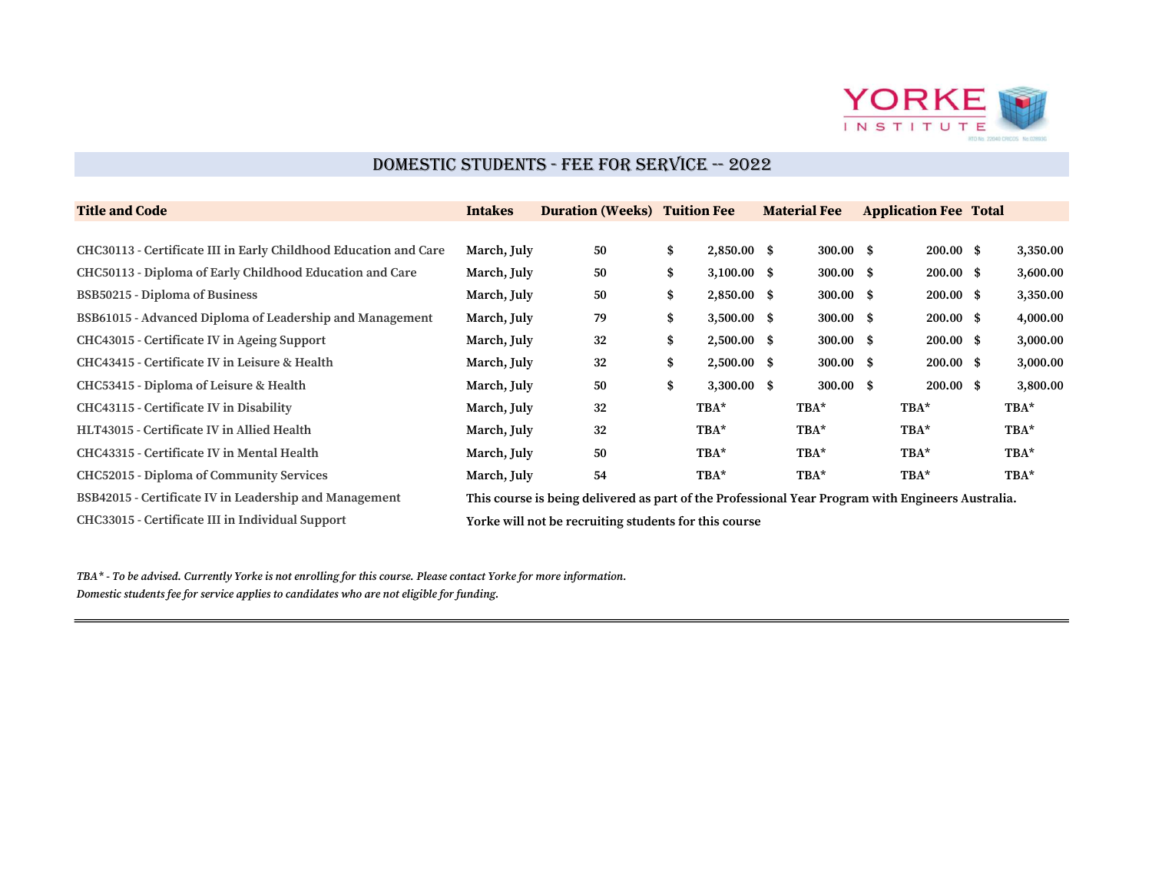

# DOMESTIC STUDENTS - FEE FOR SERVICE -- 2022

| <b>Title and Code</b>                                            | <b>Intakes</b> | <b>Duration (Weeks) Tuition Fee</b>                                                               |                     | <b>Material Fee</b>  | <b>Application Fee Total</b> |          |
|------------------------------------------------------------------|----------------|---------------------------------------------------------------------------------------------------|---------------------|----------------------|------------------------------|----------|
|                                                                  |                |                                                                                                   |                     |                      |                              |          |
| CHC30113 - Certificate III in Early Childhood Education and Care | March, July    | 50                                                                                                | \$<br>$2,850.00$ \$ | $300.00\quad$ \$     | $200.00 \text{ s}$           | 3,350.00 |
| CHC50113 - Diploma of Early Childhood Education and Care         | March, July    | 50                                                                                                | \$<br>$3,100.00$ \$ | $300.00$ \$          | $200.00 \text{ }$ \$         | 3,600.00 |
| <b>BSB50215 - Diploma of Business</b>                            | March, July    | 50                                                                                                | \$<br>$2,850.00$ \$ | $300.00$ \$          | $200.00 \text{ }$ \$         | 3,350.00 |
| BSB61015 - Advanced Diploma of Leadership and Management         | March, July    | 79                                                                                                | \$<br>$3,500.00$ \$ | $300.00 \text{ }$ \$ | $200.00 \text{ }$ \$         | 4,000.00 |
| CHC43015 - Certificate IV in Ageing Support                      | March, July    | 32                                                                                                | \$<br>$2,500.00$ \$ | $300.00$ \$          | $200.00 \text{ }$ \$         | 3,000.00 |
| CHC43415 - Certificate IV in Leisure & Health                    | March, July    | 32                                                                                                | \$<br>$2,500.00$ \$ | $300.00$ \$          | $200.00 \text{ }$ \$         | 3,000.00 |
| CHC53415 - Diploma of Leisure & Health                           | March, July    | 50                                                                                                | \$<br>$3,300.00$ \$ | $300.00 \text{ }$ \$ | $200.00 \text{ }$ \$         | 3,800.00 |
| CHC43115 - Certificate IV in Disability                          | March, July    | 32                                                                                                | $TBA*$              | TBA*                 | $TBA*$                       | TBA*     |
| HLT43015 - Certificate IV in Allied Health                       | March, July    | 32                                                                                                | $TBA*$              | TBA*                 | TBA*                         | TBA*     |
| CHC43315 - Certificate IV in Mental Health                       | March, July    | 50                                                                                                | $TBA*$              | TBA*                 | TBA*                         | $TBA*$   |
| <b>CHC52015 - Diploma of Community Services</b>                  | March, July    | 54                                                                                                | TBA*                | TBA*                 | TBA*                         | $TBA*$   |
| BSB42015 - Certificate IV in Leadership and Management           |                | This course is being delivered as part of the Professional Year Program with Engineers Australia. |                     |                      |                              |          |
| CHC33015 - Certificate III in Individual Support                 |                | Yorke will not be recruiting students for this course                                             |                     |                      |                              |          |

 $TBA^*$  - To be advised. Currently Yorke is not enrolling for this course. Please contact Yorke for more information. Domestic students fee for service applies to candidates who are not eligible for funding.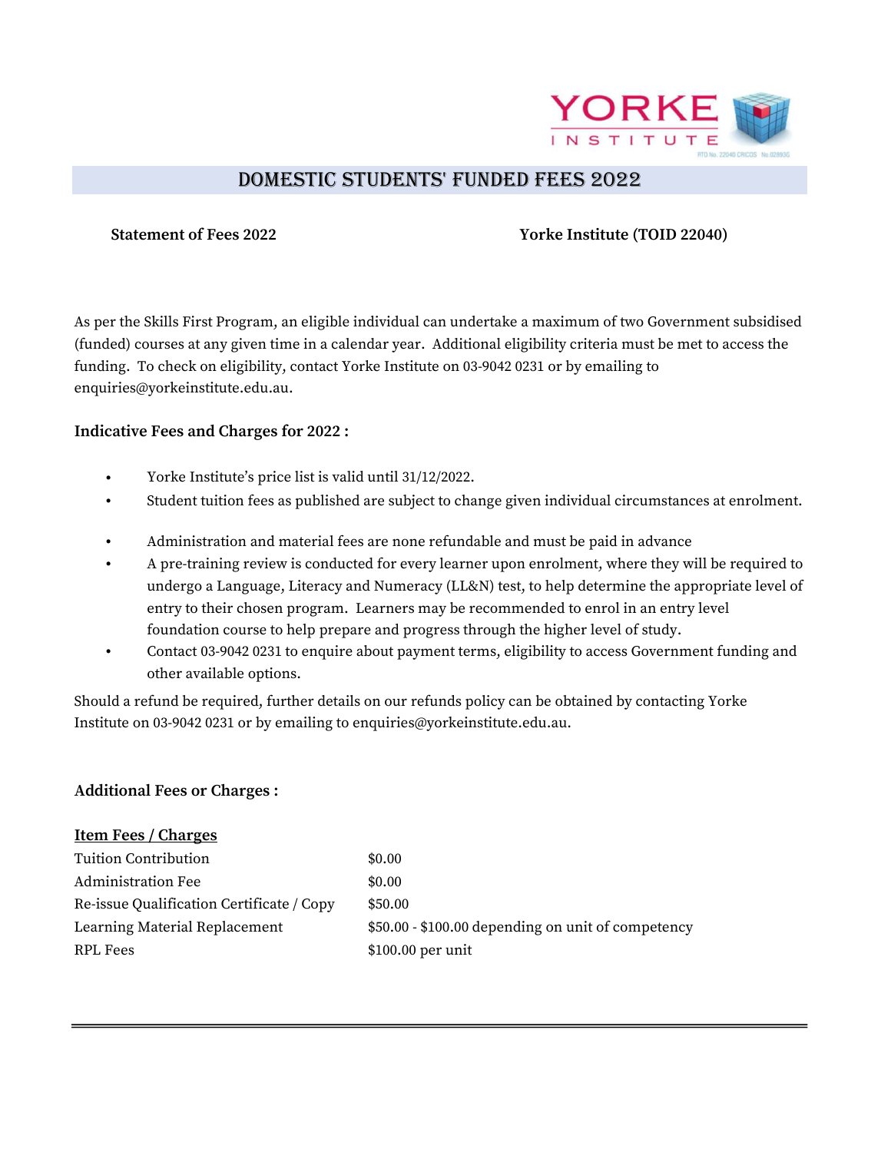

# DOMESTIC STUDENTS' FUNDED FEES 2022

## Statement of Fees 2022 Yorke Institute (TOID 22040)

As per the Skills First Program, an eligible individual can undertake a maximum of two Government subsidised (funded) courses at any given time in a calendar year. Additional eligibility criteria must be met to access the funding. To check on eligibility, contact Yorke Institute on 03-9042 0231 or by emailing to enquiries@yorkeinstitute.edu.au.

### Indicative Fees and Charges for 2022 :

- Yorke Institute's price list is valid until 31/12/2022.
- Student tuition fees as published are subject to change given individual circumstances at enrolment.
- Administration and material fees are none refundable and must be paid in advance
- A pre-training review is conducted for every learner upon enrolment, where they will be required to undergo a Language, Literacy and Numeracy (LL&N) test, to help determine the appropriate level of entry to their chosen program. Learners may be recommended to enrol in an entry level foundation course to help prepare and progress through the higher level of study.
- Contact 03-9042 0231 to enquire about payment terms, eligibility to access Government funding and other available options.

Should a refund be required, further details on our refunds policy can be obtained by contacting Yorke Institute on 03-9042 0231 or by emailing to enquiries@yorkeinstitute.edu.au.

## Additional Fees or Charges :

| <b>Item Fees / Charges</b>                |                                                    |
|-------------------------------------------|----------------------------------------------------|
| Tuition Contribution                      | \$0.00                                             |
| <b>Administration Fee</b>                 | \$0.00                                             |
| Re-issue Qualification Certificate / Copy | \$50.00                                            |
| Learning Material Replacement             | \$50.00 - \$100.00 depending on unit of competency |
| RPL Fees                                  | $$100.00$ per unit                                 |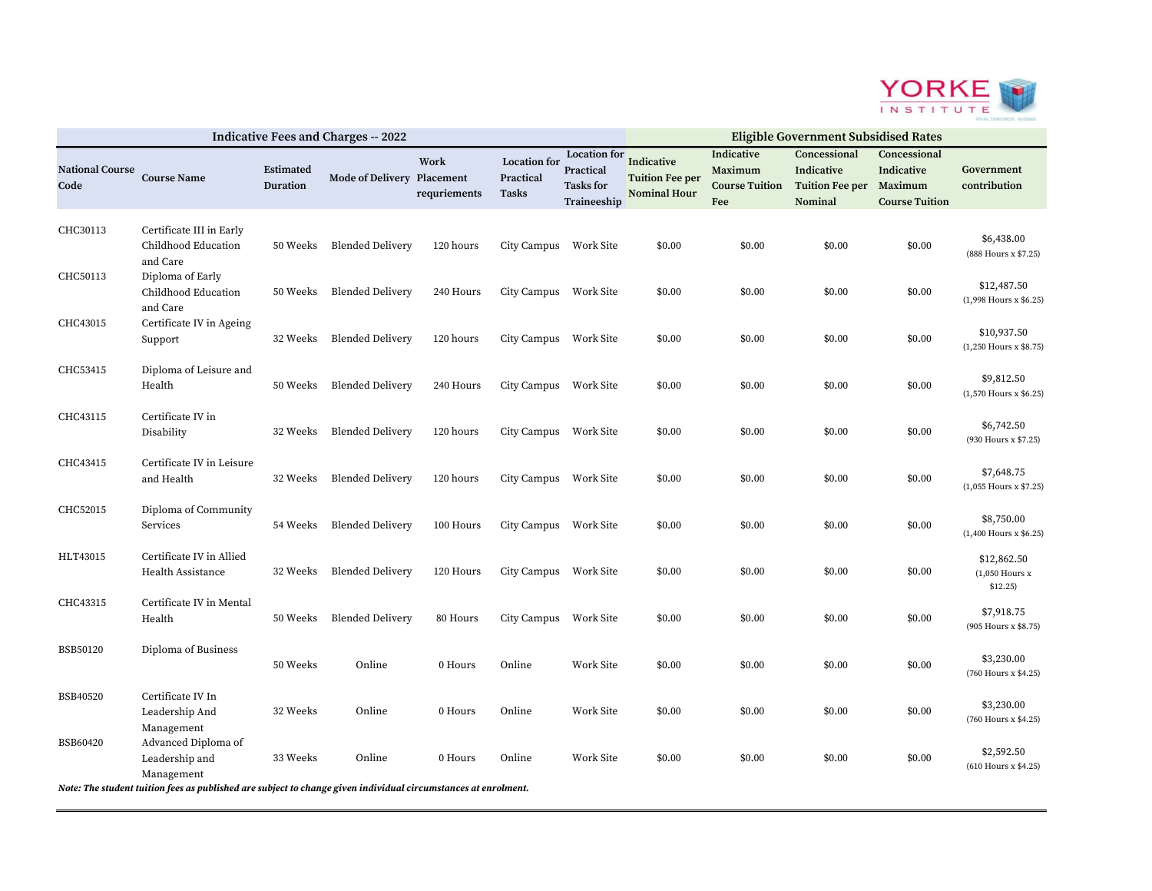

| <b>Indicative Fees and Charges -- 2022</b> |                                                                                                                |                              |                            |                      |                                    | <b>Eligible Government Subsidised Rates</b>                         |                                                             |                                                       |                                                                  |                                                     |                                               |
|--------------------------------------------|----------------------------------------------------------------------------------------------------------------|------------------------------|----------------------------|----------------------|------------------------------------|---------------------------------------------------------------------|-------------------------------------------------------------|-------------------------------------------------------|------------------------------------------------------------------|-----------------------------------------------------|-----------------------------------------------|
| <b>National Course</b><br>Code             | <b>Course Name</b>                                                                                             | <b>Estimated</b><br>Duration | Mode of Delivery Placement | Work<br>requriements | Location for<br>Practical<br>Tasks | <b>Location</b> for<br>Practical<br><b>Tasks for</b><br>Traineeship | Indicative<br><b>Tuition Fee per</b><br><b>Nominal Hour</b> | Indicative<br>Maximum<br><b>Course Tuition</b><br>Fee | Concessional<br>Indicative<br>Tuition Fee per Maximum<br>Nominal | Concessional<br>Indicative<br><b>Course Tuition</b> | Government<br>contribution                    |
| CHC30113                                   | Certificate III in Early<br>Childhood Education<br>and Care                                                    | 50 Weeks                     | <b>Blended Delivery</b>    | 120 hours            | City Campus Work Site              |                                                                     | \$0.00                                                      | \$0.00                                                | \$0.00                                                           | \$0.00                                              | \$6,438.00<br>(888 Hours x \$7.25)            |
| CHC50113                                   | Diploma of Early<br>Childhood Education<br>and Care                                                            | 50 Weeks                     | <b>Blended Delivery</b>    | 240 Hours            | City Campus Work Site              |                                                                     | \$0.00                                                      | \$0.00                                                | \$0.00                                                           | \$0.00                                              | \$12,487.50<br>(1,998 Hours x \$6.25)         |
| CHC43015                                   | Certificate IV in Ageing<br>Support                                                                            | 32 Weeks                     | <b>Blended Delivery</b>    | 120 hours            | City Campus Work Site              |                                                                     | \$0.00                                                      | \$0.00                                                | \$0.00                                                           | \$0.00                                              | \$10,937.50<br>$(1,250$ Hours x \$8.75)       |
| CHC53415                                   | Diploma of Leisure and<br>Health                                                                               | 50 Weeks                     | <b>Blended Delivery</b>    | 240 Hours            | City Campus Work Site              |                                                                     | \$0.00                                                      | \$0.00                                                | \$0.00                                                           | \$0.00                                              | \$9,812.50<br>$(1,570$ Hours x \$6.25)        |
| CHC43115                                   | Certificate IV in<br>Disability                                                                                | 32 Weeks                     | <b>Blended Delivery</b>    | 120 hours            | City Campus Work Site              |                                                                     | \$0.00                                                      | \$0.00                                                | \$0.00                                                           | \$0.00                                              | \$6,742.50<br>(930 Hours x \$7.25)            |
| CHC43415                                   | Certificate IV in Leisure<br>and Health                                                                        | 32 Weeks                     | <b>Blended Delivery</b>    | 120 hours            | City Campus Work Site              |                                                                     | \$0.00                                                      | \$0.00                                                | \$0.00                                                           | \$0.00                                              | \$7,648.75<br>$(1,055$ Hours x \$7.25)        |
| CHC52015                                   | Diploma of Community<br>Services                                                                               | 54 Weeks                     | <b>Blended Delivery</b>    | 100 Hours            | City Campus Work Site              |                                                                     | \$0.00                                                      | \$0.00                                                | \$0.00                                                           | \$0.00                                              | \$8,750.00<br>(1,400 Hours x \$6.25)          |
| HLT43015                                   | Certificate IV in Allied<br>Health Assistance                                                                  | 32 Weeks                     | <b>Blended Delivery</b>    | 120 Hours            | City Campus Work Site              |                                                                     | \$0.00                                                      | \$0.00                                                | \$0.00                                                           | \$0.00                                              | \$12,862.50<br>$(1,050$ Hours $x$<br>\$12.25) |
| CHC43315                                   | Certificate IV in Mental<br>Health                                                                             |                              | 50 Weeks Blended Delivery  | 80 Hours             | City Campus Work Site              |                                                                     | \$0.00                                                      | \$0.00                                                | \$0.00                                                           | \$0.00                                              | \$7,918.75<br>(905 Hours x \$8.75)            |
| <b>BSB50120</b>                            | Diploma of Business                                                                                            | 50 Weeks                     | Online                     | 0 Hours              | Online                             | Work Site                                                           | \$0.00                                                      | \$0.00                                                | \$0.00                                                           | \$0.00                                              | \$3,230.00<br>(760 Hours x \$4.25)            |
| BSB40520                                   | Certificate IV In<br>Leadership And<br>Management                                                              | 32 Weeks                     | Online                     | 0 Hours              | Online                             | Work Site                                                           | \$0.00                                                      | \$0.00                                                | \$0.00                                                           | \$0.00                                              | \$3,230.00<br>(760 Hours x \$4.25)            |
| BSB60420                                   | Advanced Diploma of<br>Leadership and<br>Management                                                            | 33 Weeks                     | Online                     | 0 Hours              | Online                             | Work Site                                                           | \$0.00                                                      | \$0.00                                                | \$0.00                                                           | \$0.00                                              | \$2,592.50<br>(610 Hours x \$4.25)            |
|                                            | Note: The student tuition fees as published are subject to change given individual circumstances at enrolment. |                              |                            |                      |                                    |                                                                     |                                                             |                                                       |                                                                  |                                                     |                                               |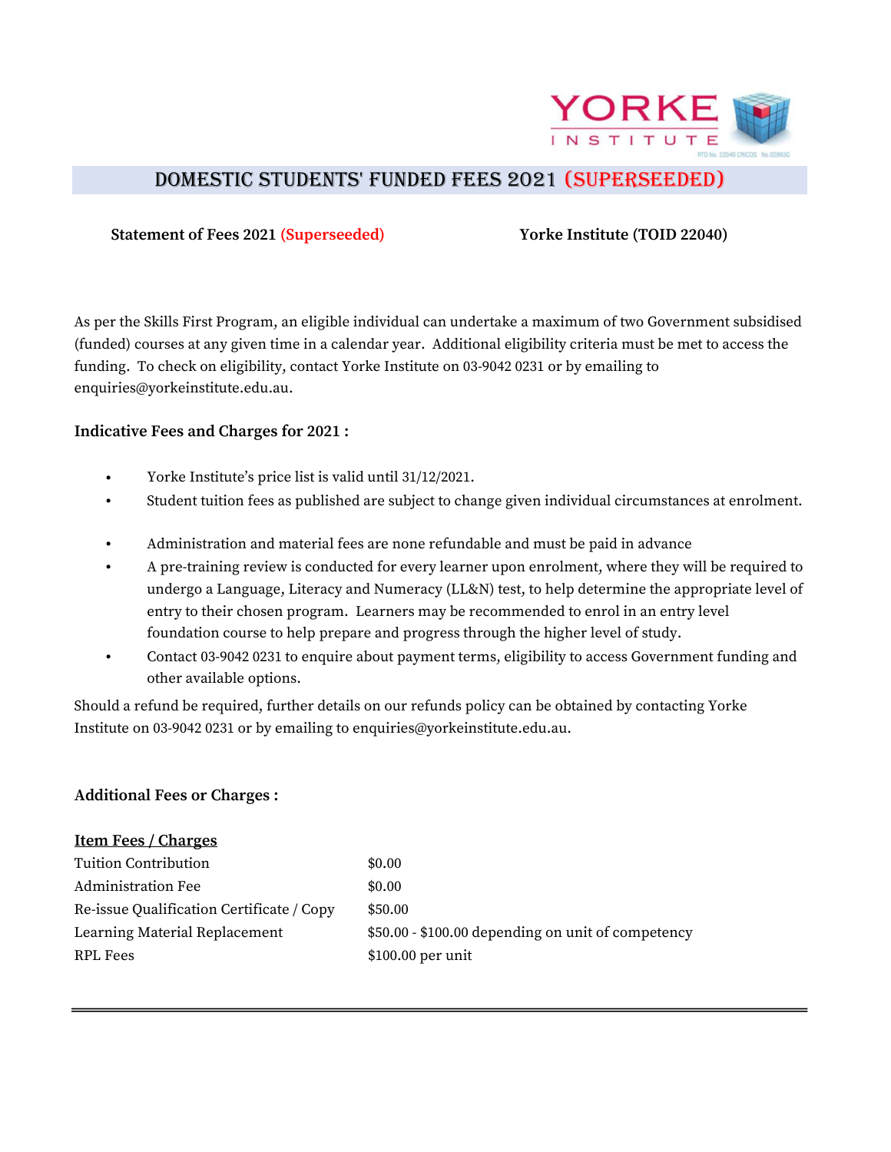

# DOMESTIC STUDENTS' FUNDED FEES 2021 (SUpERSEEDED)

#### Statement of Fees 2021 (Superseeded) Yorke Institute (TOID 22040)

As per the Skills First Program, an eligible individual can undertake a maximum of two Government subsidised (funded) courses at any given time in a calendar year. Additional eligibility criteria must be met to access the funding. To check on eligibility, contact Yorke Institute on 03-9042 0231 or by emailing to enquiries@yorkeinstitute.edu.au.

### Indicative Fees and Charges for 2021 :

- Yorke Institute's price list is valid until 31/12/2021.
- Student tuition fees as published are subject to change given individual circumstances at enrolment.
- Administration and material fees are none refundable and must be paid in advance
- A pre-training review is conducted for every learner upon enrolment, where they will be required to undergo a Language, Literacy and Numeracy (LL&N) test, to help determine the appropriate level of entry to their chosen program. Learners may be recommended to enrol in an entry level foundation course to help prepare and progress through the higher level of study.
- Contact 03-9042 0231 to enquire about payment terms, eligibility to access Government funding and other available options.

Should a refund be required, further details on our refunds policy can be obtained by contacting Yorke Institute on 03-9042 0231 or by emailing to enquiries@yorkeinstitute.edu.au.

#### Additional Fees or Charges :

| <b>Item Fees / Charges</b>                |                                                    |
|-------------------------------------------|----------------------------------------------------|
| Tuition Contribution                      | \$0.00                                             |
| Administration Fee                        | \$0.00                                             |
| Re-issue Qualification Certificate / Copy | \$50.00                                            |
| Learning Material Replacement             | \$50.00 - \$100.00 depending on unit of competency |
| RPL Fees                                  | $$100.00$ per unit                                 |
|                                           |                                                    |